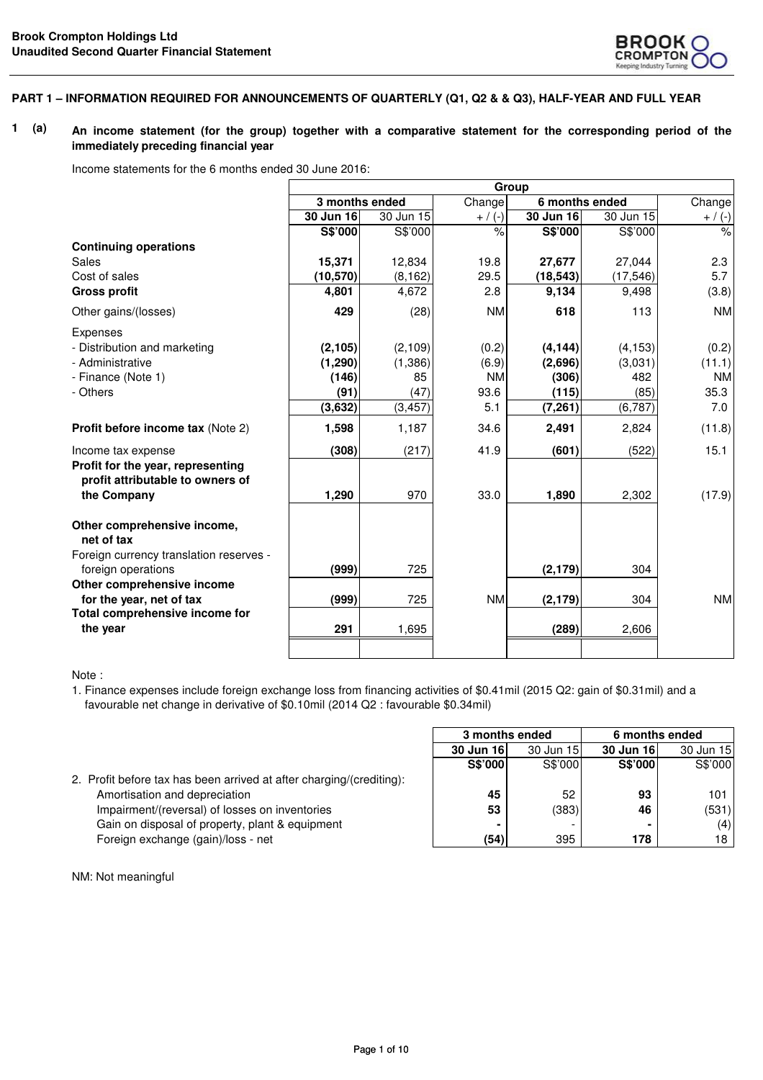

#### **PART 1 – INFORMATION REQUIRED FOR ANNOUNCEMENTS OF QUARTERLY (Q1, Q2 & & Q3), HALF-YEAR AND FULL YEAR**

#### **1 (a) An income statement (for the group) together with a comparative statement for the corresponding period of the immediately preceding financial year**

Income statements for the 6 months ended 30 June 2016:

|                                                                       | Group     |                |           |           |                |           |
|-----------------------------------------------------------------------|-----------|----------------|-----------|-----------|----------------|-----------|
|                                                                       |           | 3 months ended | Change    |           | 6 months ended | Change    |
|                                                                       | 30 Jun 16 | 30 Jun 15      | $+ / (-)$ | 30 Jun 16 | 30 Jun 15      | $+ / (-)$ |
|                                                                       | S\$'000   | S\$'000        | $\%$      | S\$'000   | S\$'000        | $\%$      |
| <b>Continuing operations</b>                                          |           |                |           |           |                |           |
| Sales                                                                 | 15,371    | 12,834         | 19.8      | 27,677    | 27,044         | 2.3       |
| Cost of sales                                                         | (10, 570) | (8, 162)       | 29.5      | (18, 543) | (17, 546)      | 5.7       |
| <b>Gross profit</b>                                                   | 4,801     | 4,672          | 2.8       | 9,134     | 9,498          | (3.8)     |
| Other gains/(losses)                                                  | 429       | (28)           | <b>NM</b> | 618       | 113            | <b>NM</b> |
| Expenses                                                              |           |                |           |           |                |           |
| - Distribution and marketing                                          | (2, 105)  | (2, 109)       | (0.2)     | (4, 144)  | (4, 153)       | (0.2)     |
| - Administrative                                                      | (1, 290)  | (1, 386)       | (6.9)     | (2,696)   | (3,031)        | (11.1)    |
| - Finance (Note 1)                                                    | (146)     | 85             | <b>NM</b> | (306)     | 482            | <b>NM</b> |
| - Others                                                              | (91)      | (47)           | 93.6      | (115)     | (85)           | 35.3      |
|                                                                       | (3,632)   | (3, 457)       | 5.1       | (7,261)   | (6, 787)       | 7.0       |
| Profit before income tax (Note 2)                                     | 1,598     | 1,187          | 34.6      | 2,491     | 2,824          | (11.8)    |
| Income tax expense                                                    | (308)     | (217)          | 41.9      | (601)     | (522)          | 15.1      |
| Profit for the year, representing<br>profit attributable to owners of |           |                |           |           |                |           |
| the Company                                                           | 1,290     | 970            | 33.0      | 1,890     | 2,302          | (17.9)    |
| Other comprehensive income,<br>net of tax                             |           |                |           |           |                |           |
| Foreign currency translation reserves -                               |           |                |           |           |                |           |
| foreign operations                                                    | (999)     | 725            |           | (2, 179)  | 304            |           |
| Other comprehensive income                                            |           |                |           |           |                |           |
| for the year, net of tax                                              | (999)     | 725            | <b>NM</b> | (2, 179)  | 304            | <b>NM</b> |
| Total comprehensive income for                                        |           |                |           |           |                |           |
| the year                                                              | 291       | 1,695          |           | (289)     | 2,606          |           |
|                                                                       |           |                |           |           |                |           |

Note :

1. Finance expenses include foreign exchange loss from financing activities of \$0.41mil (2015 Q2: gain of \$0.31mil) and a favourable net change in derivative of \$0.10mil (2014 Q2 : favourable \$0.34mil)

|                                                                      | S\$'000        | S\$'000 | <b>S\$'000</b> | S\$'000 |
|----------------------------------------------------------------------|----------------|---------|----------------|---------|
| 2. Profit before tax has been arrived at after charging/(crediting): |                |         |                |         |
| Amortisation and depreciation                                        | 45             | 52      | 93             | 101     |
| Impairment/(reversal) of losses on inventories                       | 53             | (383)   | 46             | (531)   |
| Gain on disposal of property, plant & equipment                      | $\blacksquare$ |         |                | (4)     |
| Foreign exchange (gain)/loss - net                                   | (54)           | 395     | 178            | 18      |

| 3 months ended |           |           | 6 months ended |
|----------------|-----------|-----------|----------------|
| 30 Jun 16      | 30 Jun 15 | 30 Jun 16 | 30 Jun 15      |
| S\$'000        | S\$'000   | S\$'000   | S\$'000        |
|                |           |           |                |
| 45             | 52        | 93        | 101            |
| 53             | (383)     | 46        | (531)          |
| $\blacksquare$ |           |           | (4)            |
| (54)           | 395       | 178       | 18             |

NM: Not meaningful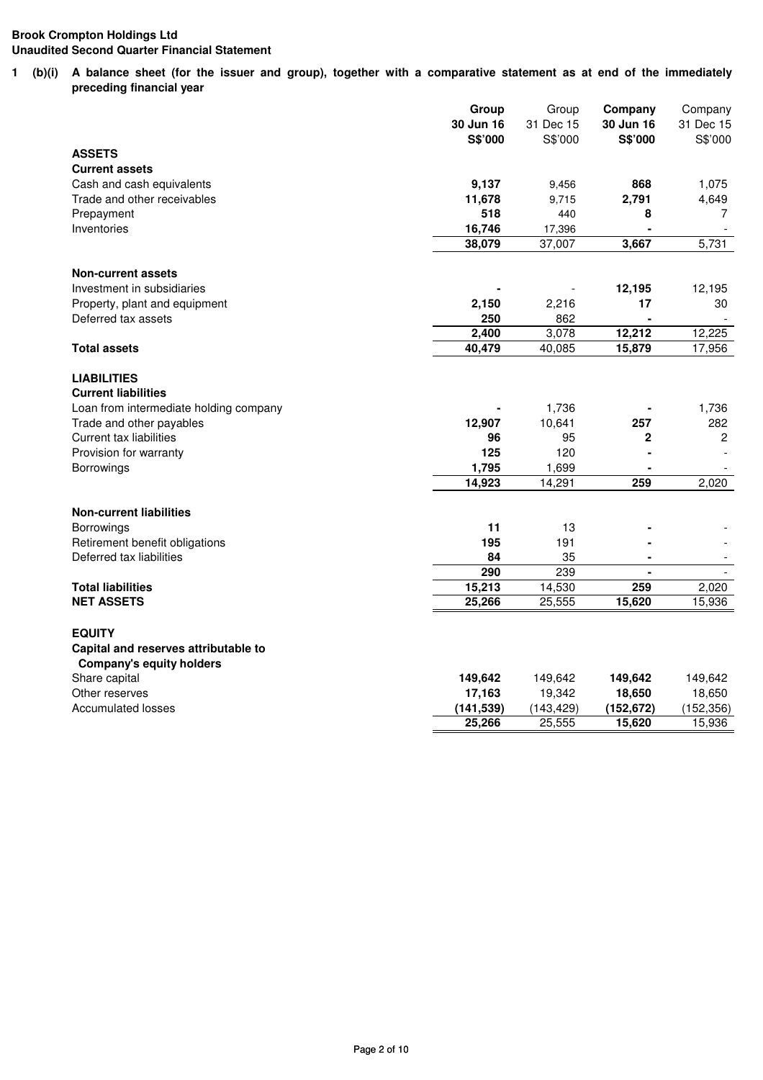**1 (b)(i) A balance sheet (for the issuer and group), together with a comparative statement as at end of the immediately preceding financial year**

|                                                  | Group                | Group                | Company                     | Company              |
|--------------------------------------------------|----------------------|----------------------|-----------------------------|----------------------|
|                                                  | 30 Jun 16<br>S\$'000 | 31 Dec 15<br>S\$'000 | 30 Jun 16<br><b>S\$'000</b> | 31 Dec 15<br>S\$'000 |
| <b>ASSETS</b>                                    |                      |                      |                             |                      |
| <b>Current assets</b>                            |                      |                      |                             |                      |
| Cash and cash equivalents                        | 9,137                | 9,456                | 868                         | 1,075                |
| Trade and other receivables                      | 11,678               | 9,715                | 2,791                       | 4,649                |
| Prepayment                                       | 518                  | 440                  | 8                           | 7                    |
| Inventories                                      | 16,746               | 17,396               |                             |                      |
|                                                  | 38,079               | 37,007               | 3,667                       | 5,731                |
|                                                  |                      |                      |                             |                      |
| <b>Non-current assets</b>                        |                      |                      |                             |                      |
| Investment in subsidiaries                       |                      |                      | 12,195                      | 12,195               |
| Property, plant and equipment                    | 2,150                | 2,216                | 17                          | 30                   |
| Deferred tax assets                              | 250                  | 862                  |                             |                      |
|                                                  | 2,400                | 3,078                | 12,212                      | 12,225               |
| <b>Total assets</b>                              | 40,479               | 40,085               | 15,879                      | 17,956               |
|                                                  |                      |                      |                             |                      |
| <b>LIABILITIES</b>                               |                      |                      |                             |                      |
| <b>Current liabilities</b>                       |                      |                      |                             |                      |
| Loan from intermediate holding company           |                      | 1,736                |                             | 1,736                |
| Trade and other payables                         | 12,907               | 10,641               | 257                         | 282                  |
| <b>Current tax liabilities</b>                   | 96                   | 95                   | $\overline{2}$              | $\mathbf{2}$         |
| Provision for warranty                           | 125                  | 120                  |                             |                      |
| Borrowings                                       | 1,795                | 1,699                |                             |                      |
|                                                  | 14,923               | 14,291               | 259                         | 2,020                |
|                                                  |                      |                      |                             |                      |
| <b>Non-current liabilities</b>                   |                      |                      |                             |                      |
| Borrowings                                       | 11                   | 13                   |                             |                      |
| Retirement benefit obligations                   | 195                  | 191                  |                             |                      |
| Deferred tax liabilities                         | 84                   | 35                   |                             |                      |
|                                                  | 290                  | 239                  |                             |                      |
| <b>Total liabilities</b>                         | 15,213               | 14,530               | 259                         | 2,020                |
| <b>NET ASSETS</b>                                | 25,266               | 25,555               | 15,620                      | 15,936               |
| <b>EQUITY</b>                                    |                      |                      |                             |                      |
|                                                  |                      |                      |                             |                      |
| Capital and reserves attributable to             |                      |                      |                             |                      |
| <b>Company's equity holders</b><br>Share capital | 149,642              | 149,642              | 149,642                     | 149,642              |
| Other reserves                                   | 17,163               | 19,342               | 18,650                      | 18,650               |
| <b>Accumulated losses</b>                        | (141, 539)           | (143, 429)           | (152, 672)                  | (152, 356)           |
|                                                  | 25,266               | 25,555               | 15,620                      | 15,936               |
|                                                  |                      |                      |                             |                      |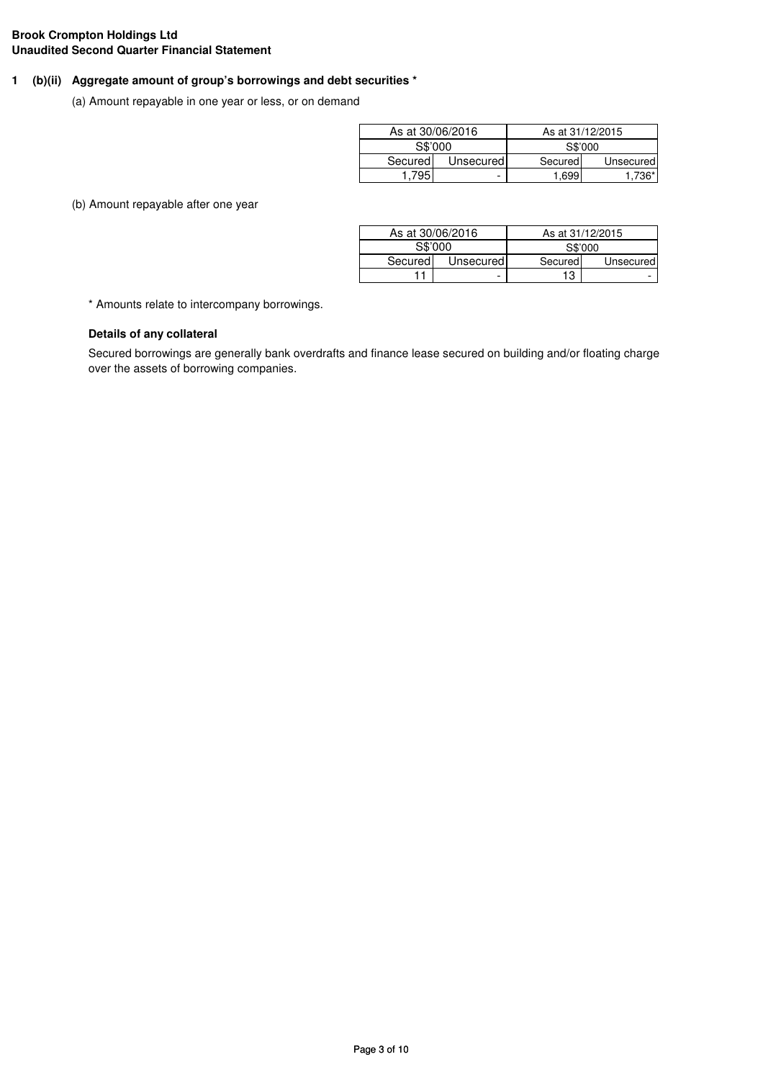# **1 (b)(ii) Aggregate amount of group's borrowings and debt securities \***

(a) Amount repayable in one year or less, or on demand

|         | As at 30/06/2016 | As at 31/12/2015 |           |
|---------|------------------|------------------|-----------|
|         | S\$'000          | S\$'000          |           |
| Secured | Unsecured        | Secured          | Unsecured |
|         |                  | 1.699            |           |

(b) Amount repayable after one year

|         | As at 30/06/2016 |         | As at 31/12/2015 |
|---------|------------------|---------|------------------|
| S\$'000 |                  | S\$'000 |                  |
| Secured | Unsecured        | Secured | Unsecured        |
|         | -                | 13      | -                |

\* Amounts relate to intercompany borrowings.

# **Details of any collateral**

Secured borrowings are generally bank overdrafts and finance lease secured on building and/or floating charge over the assets of borrowing companies.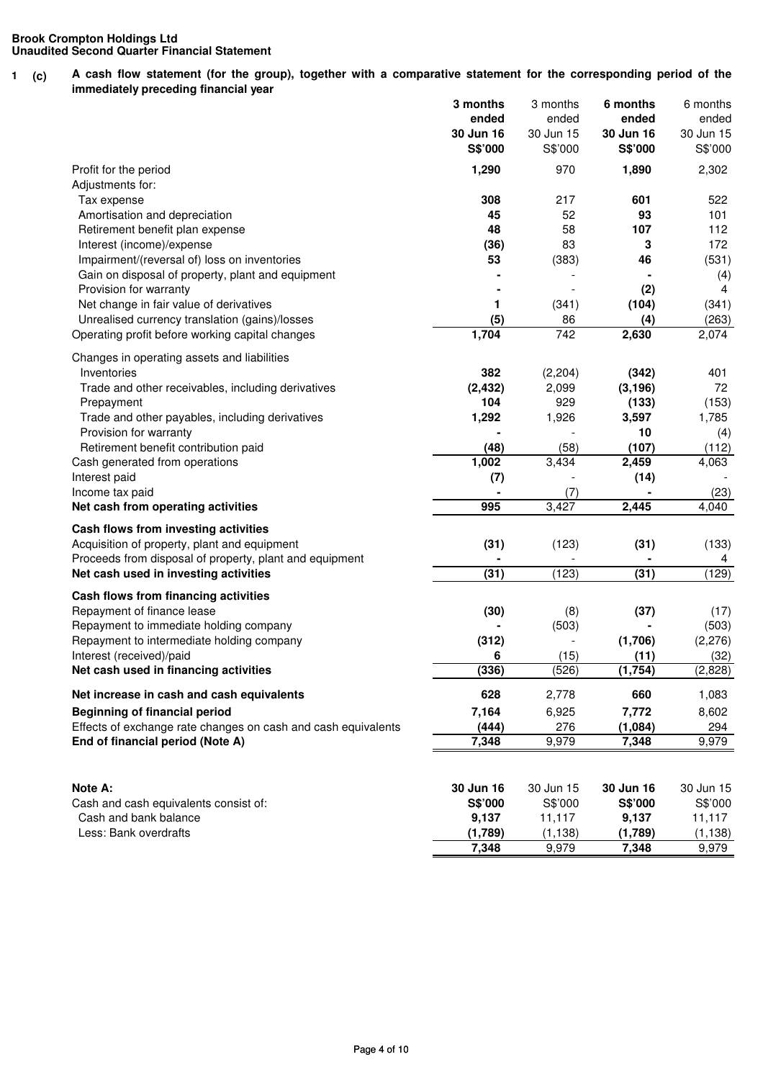**1 (c)** A cash flow statement (for the group), together with a comparative statement for the corresponding period of the **immediately preceding financial year**

|                                                                       | 3 months             | 3 months             | 6 months             | 6 months             |
|-----------------------------------------------------------------------|----------------------|----------------------|----------------------|----------------------|
|                                                                       | ended                | ended                | ended                | ended                |
|                                                                       | 30 Jun 16<br>S\$'000 | 30 Jun 15<br>S\$'000 | 30 Jun 16<br>S\$'000 | 30 Jun 15<br>S\$'000 |
|                                                                       |                      |                      |                      |                      |
| Profit for the period                                                 | 1,290                | 970                  | 1,890                | 2,302                |
| Adjustments for:<br>Tax expense                                       | 308                  | 217                  | 601                  | 522                  |
| Amortisation and depreciation                                         | 45                   | 52                   | 93                   | 101                  |
| Retirement benefit plan expense                                       | 48                   | 58                   | 107                  | 112                  |
| Interest (income)/expense                                             | (36)                 | 83                   | 3                    | 172                  |
| Impairment/(reversal of) loss on inventories                          | 53                   | (383)                | 46                   | (531)                |
| Gain on disposal of property, plant and equipment                     |                      |                      |                      | (4)                  |
| Provision for warranty                                                |                      |                      | (2)                  | 4                    |
| Net change in fair value of derivatives                               | 1                    | (341)                | (104)                | (341)                |
| Unrealised currency translation (gains)/losses                        | (5)                  | 86                   | (4)                  | (263)                |
| Operating profit before working capital changes                       | 1,704                | 742                  | 2,630                | 2,074                |
|                                                                       |                      |                      |                      |                      |
| Changes in operating assets and liabilities<br>Inventories            | 382                  |                      |                      |                      |
| Trade and other receivables, including derivatives                    |                      | (2, 204)             | (342)                | 401<br>72            |
|                                                                       | (2, 432)<br>104      | 2,099<br>929         | (3, 196)<br>(133)    | (153)                |
| Prepayment<br>Trade and other payables, including derivatives         | 1,292                | 1,926                | 3,597                | 1,785                |
| Provision for warranty                                                |                      |                      | 10                   | (4)                  |
| Retirement benefit contribution paid                                  | (48)                 | (58)                 | (107)                | (112)                |
| Cash generated from operations                                        | 1,002                | 3,434                | 2,459                | 4,063                |
| Interest paid                                                         | (7)                  |                      | (14)                 |                      |
| Income tax paid                                                       |                      | (7)                  |                      | (23)                 |
| Net cash from operating activities                                    | 995                  | $\overline{3,}427$   | 2,445                | 4,040                |
| Cash flows from investing activities                                  |                      |                      |                      |                      |
| Acquisition of property, plant and equipment                          | (31)                 | (123)                | (31)                 | (133)                |
| Proceeds from disposal of property, plant and equipment               |                      |                      |                      | 4                    |
| Net cash used in investing activities                                 | (31)                 | (123)                | (31)                 | (129)                |
|                                                                       |                      |                      |                      |                      |
| Cash flows from financing activities                                  |                      |                      |                      |                      |
| Repayment of finance lease                                            | (30)                 | (8)                  | (37)                 | (17)                 |
| Repayment to immediate holding company                                |                      | (503)                | (1,706)              | (503)                |
| Repayment to intermediate holding company<br>Interest (received)/paid | (312)<br>6           | (15)                 | (11)                 | (2, 276)<br>(32)     |
| Net cash used in financing activities                                 | (336)                | (526)                | (1,754)              | (2,828)              |
|                                                                       |                      |                      |                      |                      |
| Net increase in cash and cash equivalents                             | 628                  | 2,778                | 660                  | 1,083                |
| <b>Beginning of financial period</b>                                  | 7,164                | 6,925                | 7,772                | 8,602                |
| Effects of exchange rate changes on cash and cash equivalents         | (444)                | 276                  | (1,084)              | 294                  |
| End of financial period (Note A)                                      | 7,348                | 9,979                | 7,348                | 9,979                |
|                                                                       |                      |                      |                      |                      |
| Note A:                                                               | 30 Jun 16            | 30 Jun 15            | 30 Jun 16            | 30 Jun 15            |
| Cash and cash equivalents consist of:                                 | S\$'000              | S\$'000              | S\$'000              | S\$'000              |
| Cash and bank balance                                                 | 9,137                | 11,117               | 9,137                | 11,117               |
| Less: Bank overdrafts                                                 | (1,789)              | (1, 138)             | (1,789)              | (1, 138)             |
|                                                                       | 7,348                | 9,979                | 7,348                | 9,979                |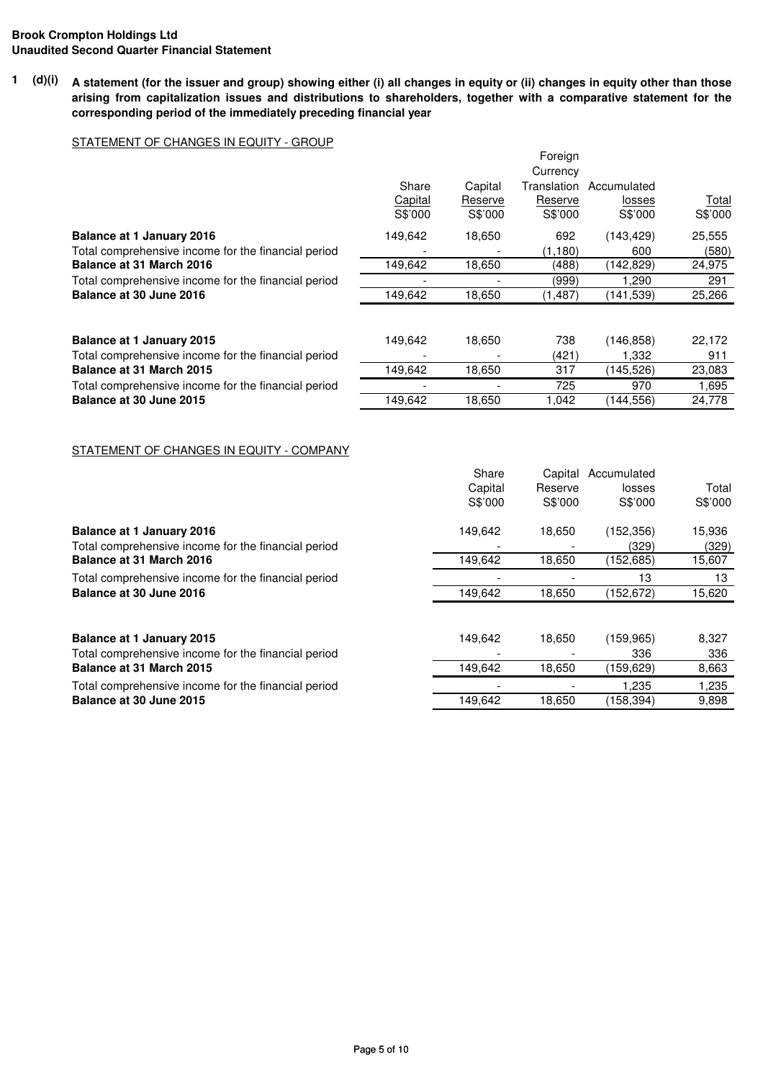**1 (d)(i) A statement (for the issuer and group) showing either (i) all changes in equity or (ii) changes in equity other than those arising from capitalization issues and distributions to shareholders, together with a comparative statement for the corresponding period of the immediately preceding financial year**

# STATEMENT OF CHANGES IN EQUITY - GROUP

|                                                                                         |                             |                               | Foreign<br>Currency               |                                  |                  |
|-----------------------------------------------------------------------------------------|-----------------------------|-------------------------------|-----------------------------------|----------------------------------|------------------|
|                                                                                         | Share<br>Capital<br>S\$'000 | Capital<br>Reserve<br>S\$'000 | Translation<br>Reserve<br>S\$'000 | Accumulated<br>losses<br>S\$'000 | Total<br>S\$'000 |
| <b>Balance at 1 January 2016</b><br>Total comprehensive income for the financial period | 149.642                     | 18,650                        | 692<br>(1, 180)                   | (143, 429)<br>600                | 25,555<br>(580)  |
| Balance at 31 March 2016                                                                | 149,642                     | 18,650                        | (488)                             | (142, 829)                       | 24,975           |
| Total comprehensive income for the financial period                                     |                             | ۰                             | (999)                             | 1.290                            | 291              |
| Balance at 30 June 2016                                                                 | 149,642                     | 18,650                        | (1, 487)                          | (141, 539)                       | 25,266           |
|                                                                                         |                             |                               |                                   |                                  |                  |
| <b>Balance at 1 January 2015</b>                                                        | 149.642                     | 18,650                        | 738                               | (146, 858)                       | 22,172           |
| Total comprehensive income for the financial period                                     |                             |                               | (421)                             | 1,332                            | 911              |
| Balance at 31 March 2015                                                                | 149,642                     | 18,650                        | 317                               | (145, 526)                       | 23,083           |
| Total comprehensive income for the financial period                                     |                             |                               | 725                               | 970                              | 1,695            |
| Balance at 30 June 2015                                                                 | 149.642                     | 18,650                        | 1,042                             | (144,556)                        | 24,778           |

### STATEMENT OF CHANGES IN EQUITY - COMPANY

|                                                     | Share   | Capital | Accumulated |         |
|-----------------------------------------------------|---------|---------|-------------|---------|
|                                                     | Capital | Reserve | losses      | Total   |
|                                                     | S\$'000 | S\$'000 | S\$'000     | S\$'000 |
| <b>Balance at 1 January 2016</b>                    | 149,642 | 18,650  | (152, 356)  | 15,936  |
| Total comprehensive income for the financial period |         |         | (329)       | (329)   |
| Balance at 31 March 2016                            | 149,642 | 18,650  | (152,685)   | 15,607  |
| Total comprehensive income for the financial period |         |         | 13          | 13      |
| Balance at 30 June 2016                             | 149,642 | 18,650  | (152, 672)  | 15,620  |
|                                                     |         |         |             |         |
| <b>Balance at 1 January 2015</b>                    | 149,642 | 18,650  | (159, 965)  | 8,327   |
| Total comprehensive income for the financial period |         |         | 336         | 336     |
| Balance at 31 March 2015                            | 149,642 | 18,650  | (159,629)   | 8,663   |
| Total comprehensive income for the financial period |         |         | 1,235       | 1,235   |
| Balance at 30 June 2015                             | 149,642 | 18,650  | (158,394)   | 9,898   |
|                                                     |         |         |             |         |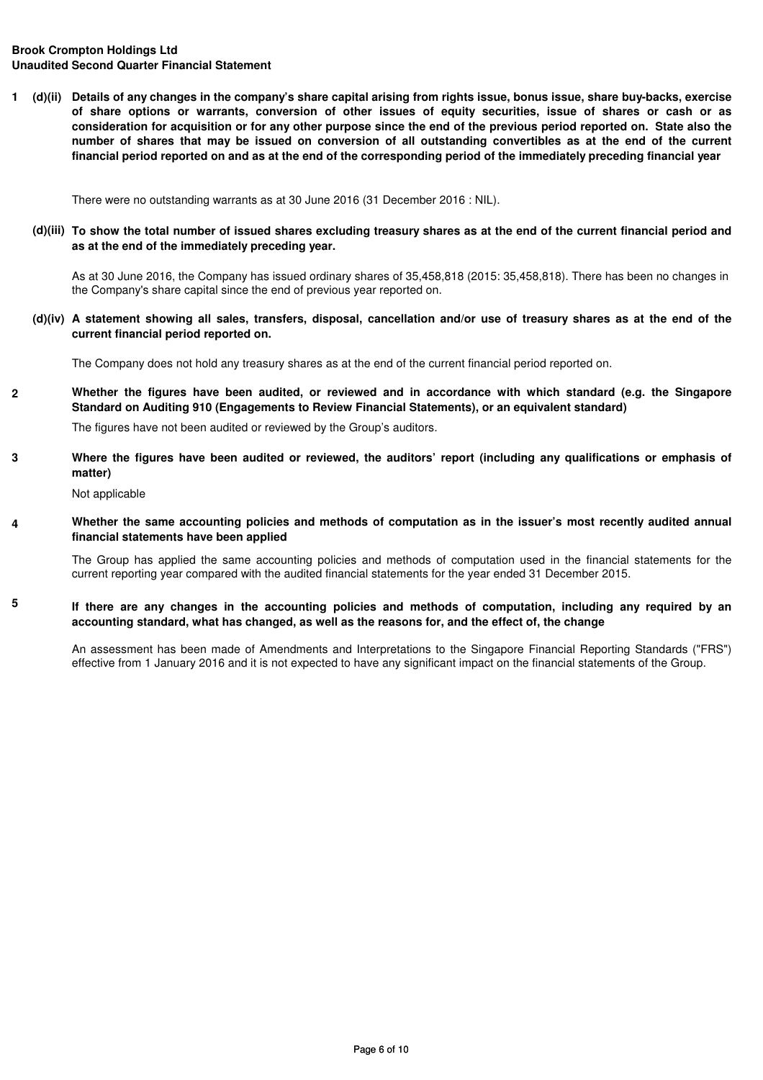**1 (d)(ii) Details of any changes in the company's share capital arising from rights issue, bonus issue, share buy-backs, exercise of share options or warrants, conversion of other issues of equity securities, issue of shares or cash or as consideration for acquisition or for any other purpose since the end of the previous period reported on. State also the number of shares that may be issued on conversion of all outstanding convertibles as at the end of the current financial period reported on and as at the end of the corresponding period of the immediately preceding financial year**

There were no outstanding warrants as at 30 June 2016 (31 December 2016 : NIL).

**(d)(iii) To show the total number of issued shares excluding treasury shares as at the end of the current financial period and as at the end of the immediately preceding year.**

As at 30 June 2016, the Company has issued ordinary shares of 35,458,818 (2015: 35,458,818). There has been no changes in the Company's share capital since the end of previous year reported on.

**(d)(iv) A statement showing all sales, transfers, disposal, cancellation and/or use of treasury shares as at the end of the current financial period reported on.**

The Company does not hold any treasury shares as at the end of the current financial period reported on.

**2** Whether the figures have been audited, or reviewed and in accordance with which standard (e.g. the Singapore **Standard on Auditing 910 (Engagements to Review Financial Statements), or an equivalent standard)**

The figures have not been audited or reviewed by the Group's auditors.

**3 Where the figures have been audited or reviewed, the auditors' report (including any qualifications or emphasis of matter)**

Not applicable

**5**

**4** Whether the same accounting policies and methods of computation as in the issuer's most recently audited annual **financial statements have been applied**

The Group has applied the same accounting policies and methods of computation used in the financial statements for the current reporting year compared with the audited financial statements for the year ended 31 December 2015.

**If there are any changes in the accounting policies and methods of computation, including any required by an accounting standard, what has changed, as well as the reasons for, and the effect of, the change**

An assessment has been made of Amendments and Interpretations to the Singapore Financial Reporting Standards ("FRS") effective from 1 January 2016 and it is not expected to have any significant impact on the financial statements of the Group.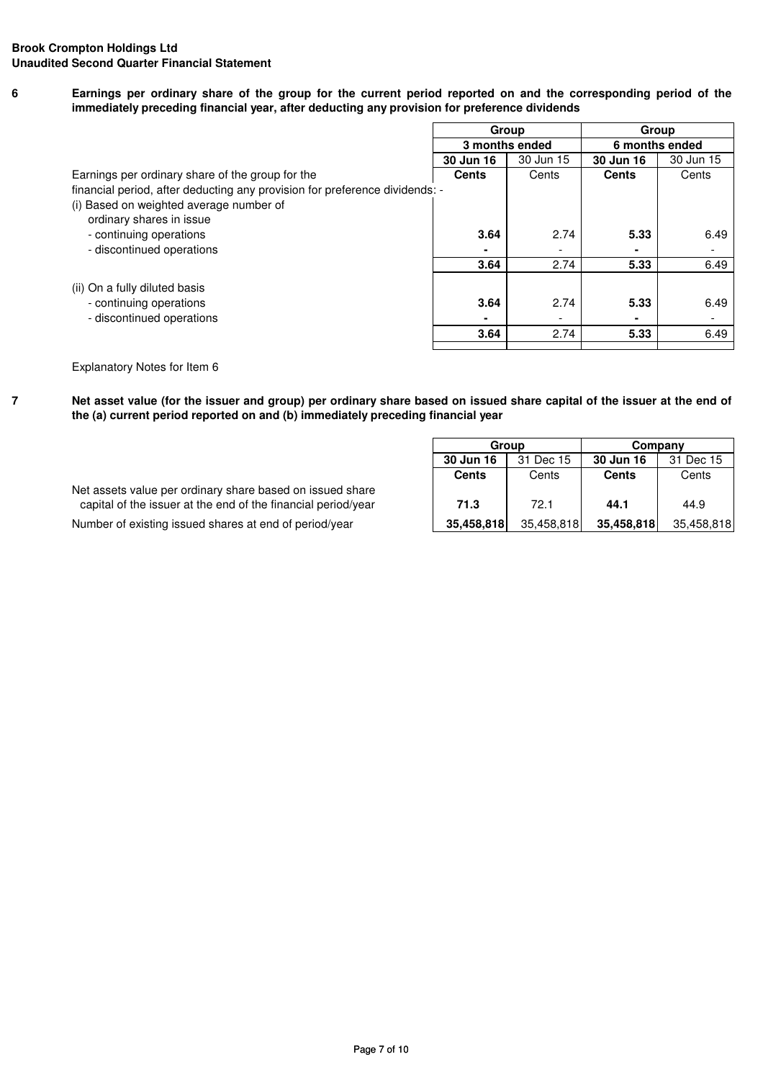**6 Earnings per ordinary share of the group for the current period reported on and the corresponding period of the immediately preceding financial year, after deducting any provision for preference dividends**

|                                                                             | Group     |                          | Group          |                          |
|-----------------------------------------------------------------------------|-----------|--------------------------|----------------|--------------------------|
|                                                                             |           | 3 months ended           | 6 months ended |                          |
|                                                                             | 30 Jun 16 | 30 Jun 15                | 30 Jun 16      | 30 Jun 15                |
| Earnings per ordinary share of the group for the                            | Cents     | Cents                    | <b>Cents</b>   | Cents                    |
| financial period, after deducting any provision for preference dividends: - |           |                          |                |                          |
| (i) Based on weighted average number of                                     |           |                          |                |                          |
| ordinary shares in issue                                                    |           |                          |                |                          |
| - continuing operations                                                     | 3.64      | 2.74                     | 5.33           | 6.49                     |
| - discontinued operations                                                   |           |                          |                | $\overline{\phantom{a}}$ |
|                                                                             | 3.64      | 2.74                     | 5.33           | 6.49                     |
| (ii) On a fully diluted basis                                               |           |                          |                |                          |
| - continuing operations                                                     | 3.64      | 2.74                     | 5.33           | 6.49                     |
| - discontinued operations                                                   |           | $\overline{\phantom{a}}$ |                | $\overline{\phantom{0}}$ |
|                                                                             | 3.64      | 2.74                     | 5.33           | 6.49                     |
|                                                                             |           |                          |                |                          |

Explanatory Notes for Item 6

**7**

**Net asset value (for the issuer and group) per ordinary share based on issued share capital of the issuer at the end of the (a) current period reported on and (b) immediately preceding financial year**

| Net assets value per ordinary share based on issued share     |            |      |                       |       |
|---------------------------------------------------------------|------------|------|-----------------------|-------|
| capital of the issuer at the end of the financial period/year | 71.3       | 72.1 | 44.1                  | 44.9  |
| Number of existing issued shares at end of period/year        | 35,458.818 |      | 35,458,818 35,458,818 | 35,45 |

|                                                               | Group        |            | Company      |            |  |
|---------------------------------------------------------------|--------------|------------|--------------|------------|--|
|                                                               | 30 Jun 16    | 31 Dec 15  |              | 31 Dec 15  |  |
|                                                               | <b>Cents</b> | Cents      | <b>Cents</b> | Cents      |  |
| Net assets value per ordinary share based on issued share     |              |            |              |            |  |
| capital of the issuer at the end of the financial period/year | 71.3         | 72.1       | 44.1         | 44.9       |  |
| Number of existing issued shares at end of period/year        | 35,458,818   | 35,458,818 | 35,458,818   | 35,458,818 |  |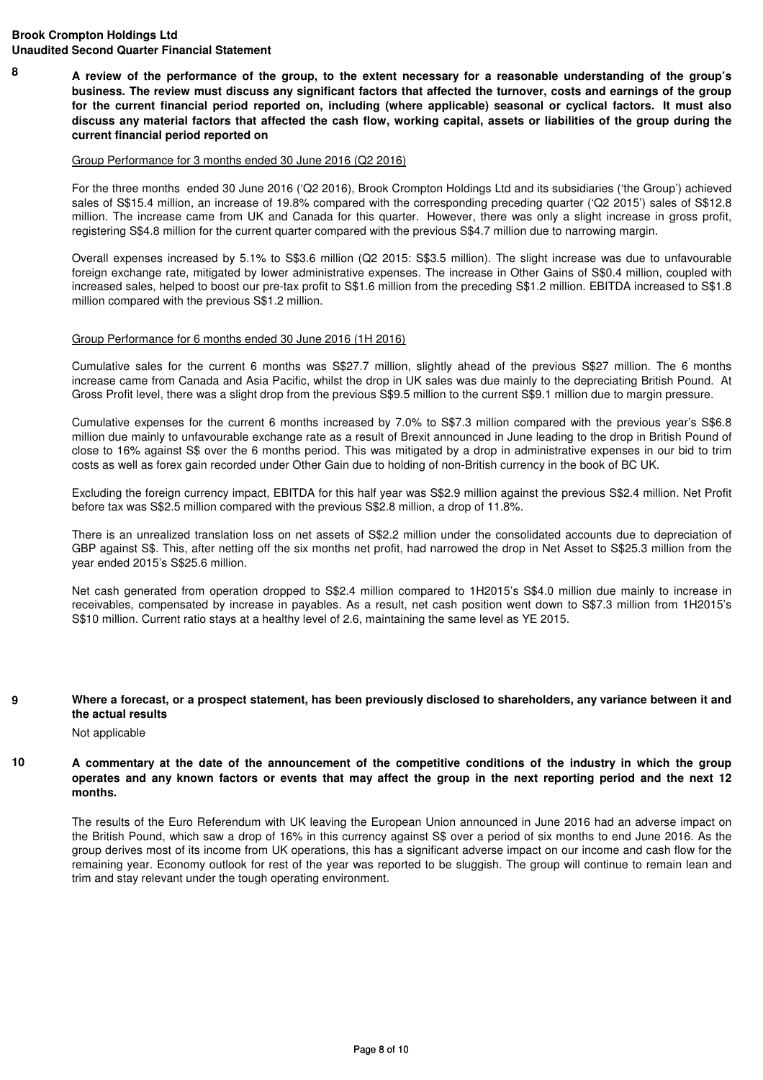**8 A review of the performance of the group, to the extent necessary for a reasonable understanding of the group's business. The review must discuss any significant factors that affected the turnover, costs and earnings of the group for the current financial period reported on, including (where applicable) seasonal or cyclical factors. It must also discuss any material factors that affected the cash flow, working capital, assets or liabilities of the group during the current financial period reported on**

#### Group Performance for 3 months ended 30 June 2016 (Q2 2016)

For the three months ended 30 June 2016 ('Q2 2016), Brook Crompton Holdings Ltd and its subsidiaries ('the Group') achieved sales of S\$15.4 million, an increase of 19.8% compared with the corresponding preceding quarter ('Q2 2015') sales of S\$12.8 million. The increase came from UK and Canada for this quarter. However, there was only a slight increase in gross profit, registering S\$4.8 million for the current quarter compared with the previous S\$4.7 million due to narrowing margin.

Overall expenses increased by 5.1% to S\$3.6 million (Q2 2015: S\$3.5 million). The slight increase was due to unfavourable foreign exchange rate, mitigated by lower administrative expenses. The increase in Other Gains of S\$0.4 million, coupled with increased sales, helped to boost our pre-tax profit to S\$1.6 million from the preceding S\$1.2 million. EBITDA increased to S\$1.8 million compared with the previous S\$1.2 million.

### Group Performance for 6 months ended 30 June 2016 (1H 2016)

Cumulative sales for the current 6 months was S\$27.7 million, slightly ahead of the previous S\$27 million. The 6 months increase came from Canada and Asia Pacific, whilst the drop in UK sales was due mainly to the depreciating British Pound. At Gross Profit level, there was a slight drop from the previous S\$9.5 million to the current S\$9.1 million due to margin pressure.

Cumulative expenses for the current 6 months increased by 7.0% to S\$7.3 million compared with the previous year's S\$6.8 million due mainly to unfavourable exchange rate as a result of Brexit announced in June leading to the drop in British Pound of close to 16% against S\$ over the 6 months period. This was mitigated by a drop in administrative expenses in our bid to trim costs as well as forex gain recorded under Other Gain due to holding of non-British currency in the book of BC UK.

Excluding the foreign currency impact, EBITDA for this half year was S\$2.9 million against the previous S\$2.4 million. Net Profit before tax was S\$2.5 million compared with the previous S\$2.8 million, a drop of 11.8%.

There is an unrealized translation loss on net assets of S\$2.2 million under the consolidated accounts due to depreciation of GBP against S\$. This, after netting off the six months net profit, had narrowed the drop in Net Asset to S\$25.3 million from the year ended 2015's S\$25.6 million.

Net cash generated from operation dropped to S\$2.4 million compared to 1H2015's S\$4.0 million due mainly to increase in receivables, compensated by increase in payables. As a result, net cash position went down to S\$7.3 million from 1H2015's S\$10 million. Current ratio stays at a healthy level of 2.6, maintaining the same level as YE 2015.

#### **9 Where a forecast, or a prospect statement, has been previously disclosed to shareholders, any variance between it and the actual results**

Not applicable

**10 A commentary at the date of the announcement of the competitive conditions of the industry in which the group operates and any known factors or events that may affect the group in the next reporting period and the next 12 months.**

The results of the Euro Referendum with UK leaving the European Union announced in June 2016 had an adverse impact on the British Pound, which saw a drop of 16% in this currency against S\$ over a period of six months to end June 2016. As the group derives most of its income from UK operations, this has a significant adverse impact on our income and cash flow for the remaining year. Economy outlook for rest of the year was reported to be sluggish. The group will continue to remain lean and trim and stay relevant under the tough operating environment.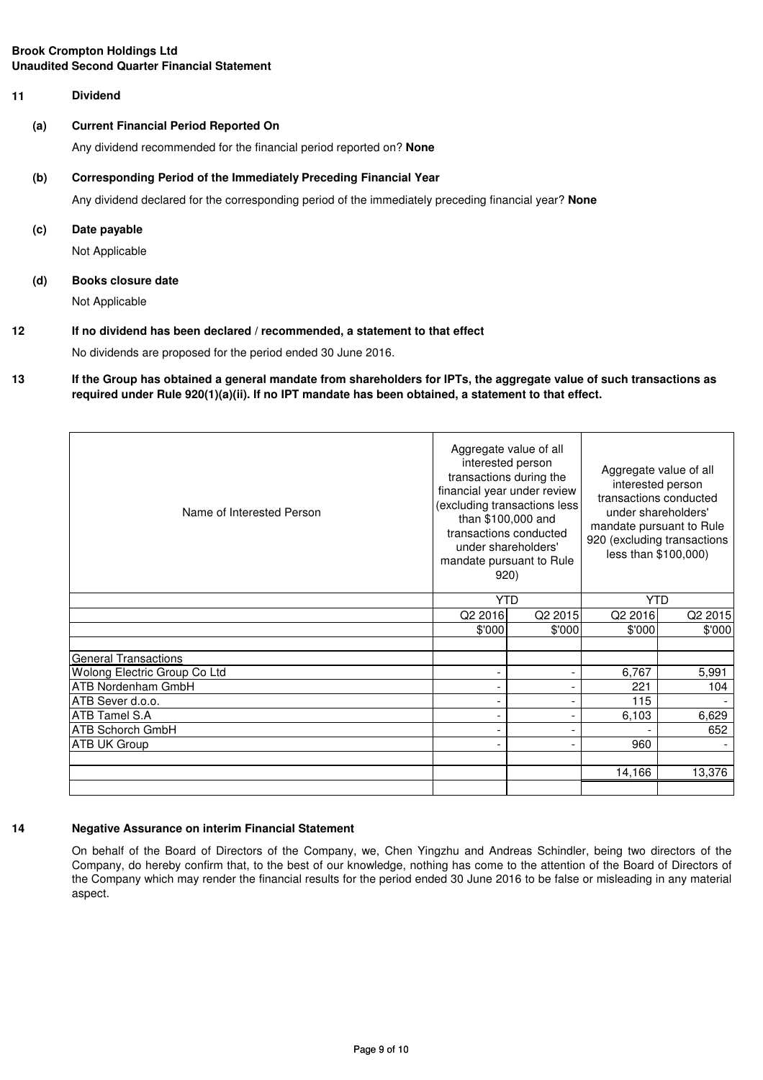## **11 Dividend**

#### **(a) Current Financial Period Reported On**

Any dividend recommended for the financial period reported on? **None**

#### **(b) Corresponding Period of the Immediately Preceding Financial Year**

Any dividend declared for the corresponding period of the immediately preceding financial year? **None**

#### **(c) Date payable**

Not Applicable

#### **(d) Books closure date**

Not Applicable

# **12 If no dividend has been declared / recommended, a statement to that effect**

No dividends are proposed for the period ended 30 June 2016.

#### **13 If the Group has obtained a general mandate from shareholders for IPTs, the aggregate value of such transactions as required under Rule 920(1)(a)(ii). If no IPT mandate has been obtained, a statement to that effect.**

| Name of Interested Person    | Aggregate value of all<br>interested person<br>transactions during the<br>financial year under review<br>(excluding transactions less<br>than \$100,000 and<br>transactions conducted<br>under shareholders'<br>mandate pursuant to Rule<br>920) |                          | Aggregate value of all<br>interested person<br>transactions conducted<br>under shareholders'<br>mandate pursuant to Rule<br>920 (excluding transactions<br>less than \$100,000) |         |
|------------------------------|--------------------------------------------------------------------------------------------------------------------------------------------------------------------------------------------------------------------------------------------------|--------------------------|---------------------------------------------------------------------------------------------------------------------------------------------------------------------------------|---------|
|                              | <b>YTD</b>                                                                                                                                                                                                                                       |                          | <b>YTD</b>                                                                                                                                                                      |         |
|                              | Q2 2016                                                                                                                                                                                                                                          | Q2 2015                  | Q2 2016                                                                                                                                                                         | Q2 2015 |
|                              | \$'000                                                                                                                                                                                                                                           | \$'000                   | \$'000                                                                                                                                                                          | \$'000  |
|                              |                                                                                                                                                                                                                                                  |                          |                                                                                                                                                                                 |         |
| <b>General Transactions</b>  |                                                                                                                                                                                                                                                  |                          |                                                                                                                                                                                 |         |
| Wolong Electric Group Co Ltd |                                                                                                                                                                                                                                                  | $\overline{\phantom{a}}$ | 6,767                                                                                                                                                                           | 5,991   |
| ATB Nordenham GmbH           |                                                                                                                                                                                                                                                  | $\overline{\phantom{a}}$ | 221                                                                                                                                                                             | 104     |
| ATB Sever d.o.o.             |                                                                                                                                                                                                                                                  | $\overline{\phantom{a}}$ | 115                                                                                                                                                                             |         |
| ATB Tamel S.A                |                                                                                                                                                                                                                                                  | $\overline{\phantom{a}}$ | 6,103                                                                                                                                                                           | 6,629   |
| <b>ATB Schorch GmbH</b>      |                                                                                                                                                                                                                                                  | $\overline{\phantom{a}}$ |                                                                                                                                                                                 | 652     |
| <b>ATB UK Group</b>          |                                                                                                                                                                                                                                                  | $\overline{\phantom{a}}$ | 960                                                                                                                                                                             |         |
|                              |                                                                                                                                                                                                                                                  |                          |                                                                                                                                                                                 |         |
|                              |                                                                                                                                                                                                                                                  |                          | 14,166                                                                                                                                                                          | 13,376  |
|                              |                                                                                                                                                                                                                                                  |                          |                                                                                                                                                                                 |         |

#### **14**

# **Negative Assurance on interim Financial Statement**

On behalf of the Board of Directors of the Company, we, Chen Yingzhu and Andreas Schindler, being two directors of the Company, do hereby confirm that, to the best of our knowledge, nothing has come to the attention of the Board of Directors of the Company which may render the financial results for the period ended 30 June 2016 to be false or misleading in any material aspect.